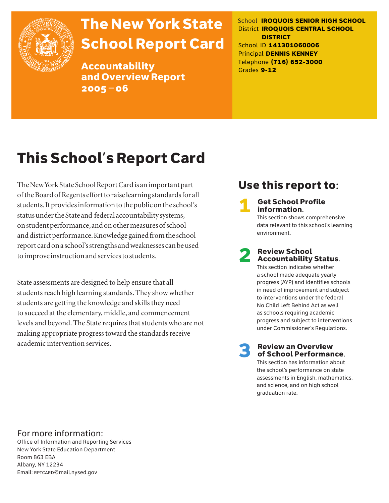

# The New York State School Report Card

Accountability and Overview Report 2005–06

School **IROQUOIS SENIOR HIGH SCHOOL** District **IROQUOIS CENTRAL SCHOOL DISTRICT** School ID **141301060006** Principal **DENNIS KENNEY** Telephone **(716) 652-3000** Grades **9-12**

# This School's Report Card

The New York State School Report Card is an important part of the Board of Regents effort to raise learning standards for all students. It provides information to the public on the school's status under the State and federal accountability systems, on student performance, and on other measures of school and district performance. Knowledge gained from the school report card on a school's strengths and weaknesses can be used to improve instruction and services to students.

State assessments are designed to help ensure that all students reach high learning standards. They show whether students are getting the knowledge and skills they need to succeed at the elementary, middle, and commencement levels and beyond. The State requires that students who are not making appropriate progress toward the standards receive academic intervention services.

# Use this report to:

**Get School Profile** information. This section shows comprehensive data relevant to this school's learning

# 2 Review School Accountability Status.

environment.

This section indicates whether a school made adequate yearly progress (AYP) and identifies schools in need of improvement and subject to interventions under the federal No Child Left Behind Act as well as schools requiring academic progress and subject to interventions under Commissioner's Regulations.

**Review an Overview** of School Performance.

This section has information about the school's performance on state assessments in English, mathematics, and science, and on high school graduation rate.

### For more information:

Office of Information and Reporting Services New York State Education Department Room 863 EBA Albany, NY 12234 Email: RPTCARD@mail.nysed.gov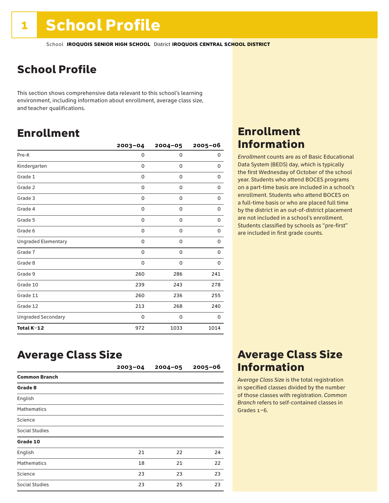# School Profile

This section shows comprehensive data relevant to this school's learning environment, including information about enrollment, average class size, and teacher qualifications.

# Enrollment

|                            | $2003 - 04$ | $2004 - 05$ | 2005-06 |
|----------------------------|-------------|-------------|---------|
| Pre-K                      | 0           | $\mathbf 0$ | 0       |
| Kindergarten               | 0           | 0           | 0       |
| Grade 1                    | 0           | 0           | 0       |
| Grade 2                    | 0           | 0           | 0       |
| Grade 3                    | 0           | 0           | 0       |
| Grade 4                    | 0           | 0           | 0       |
| Grade 5                    | 0           | 0           | 0       |
| Grade 6                    | 0           | 0           | 0       |
| <b>Ungraded Elementary</b> | 0           | 0           | 0       |
| Grade 7                    | 0           | $\mathbf 0$ | 0       |
| Grade 8                    | 0           | $\mathbf 0$ | 0       |
| Grade 9                    | 260         | 286         | 241     |
| Grade 10                   | 239         | 243         | 278     |
| Grade 11                   | 260         | 236         | 255     |
| Grade 12                   | 213         | 268         | 240     |
| <b>Ungraded Secondary</b>  | 0           | 0           | 0       |
| Total K-12                 | 972         | 1033        | 1014    |

# Enrollment Information

*Enrollment* counts are as of Basic Educational Data System (BEDS) day, which is typically the first Wednesday of October of the school year. Students who attend BOCES programs on a part-time basis are included in a school's enrollment. Students who attend BOCES on a full-time basis or who are placed full time by the district in an out-of-district placement are not included in a school's enrollment. Students classified by schools as "pre-first" are included in first grade counts.

# Average Class Size

|                       | $2003 - 04$ | $2004 - 05$ | $2005 - 06$ |
|-----------------------|-------------|-------------|-------------|
| <b>Common Branch</b>  |             |             |             |
| Grade 8               |             |             |             |
| English               |             |             |             |
| <b>Mathematics</b>    |             |             |             |
| Science               |             |             |             |
| <b>Social Studies</b> |             |             |             |
| Grade 10              |             |             |             |
| English               | 21          | 22          | 24          |
| <b>Mathematics</b>    | 18          | 21          | 22          |
| Science               | 23          | 23          | 23          |
| <b>Social Studies</b> | 23          | 25          | 23          |

# Average Class Size Information

*Average Class Size* is the total registration in specified classes divided by the number of those classes with registration. *Common Branch* refers to self-contained classes in Grades 1–6.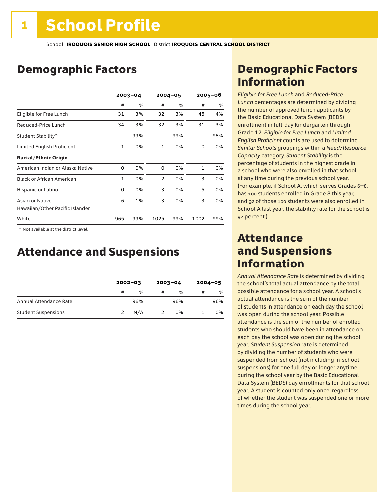# Demographic Factors

|                                  | $2003 - 04$  |     |                | $2004 - 05$ | $2005 - 06$ |     |
|----------------------------------|--------------|-----|----------------|-------------|-------------|-----|
|                                  | #            | %   | #              | %           | #           | %   |
| Eligible for Free Lunch          | 31           | 3%  | 32             | 3%          | 45          | 4%  |
| Reduced-Price Lunch              | 34           | 3%  | 32             | 3%          | 31          | 3%  |
| Student Stability*               |              | 99% |                | 99%         |             | 98% |
| Limited English Proficient       | $\mathbf{1}$ | 0%  | $\mathbf{1}$   | 0%          | 0           | 0%  |
| <b>Racial/Ethnic Origin</b>      |              |     |                |             |             |     |
| American Indian or Alaska Native | 0            | 0%  | 0              | 0%          | 1           | 0%  |
| <b>Black or African American</b> | $\mathbf{1}$ | 0%  | $\overline{2}$ | 0%          | 3           | 0%  |
| Hispanic or Latino               | 0            | 0%  | 3              | 0%          | 5           | 0%  |
| Asian or Native                  | 6            | 1%  | 3              | 0%          | 3           | 0%  |
| Hawaiian/Other Pacific Islander  |              |     |                |             |             |     |
| White                            | 965          | 99% | 1025           | 99%         | 1002        | 99% |

 \* Not available at the district level.

# Attendance and Suspensions

|                            |   | $2002 - 03$   |   | $2003 - 04$   |   | $2004 - 05$ |
|----------------------------|---|---------------|---|---------------|---|-------------|
|                            | # | $\frac{0}{6}$ | # | $\frac{0}{0}$ | # | %           |
| Annual Attendance Rate     |   | 96%           |   | 96%           |   | 96%         |
| <b>Student Suspensions</b> |   | N/A           |   | 0%            |   | 0%          |

# Demographic Factors Information

*Eligible for Free Lunch* and *Reduced*-*Price Lunch* percentages are determined by dividing the number of approved lunch applicants by the Basic Educational Data System (BEDS) enrollment in full-day Kindergarten through Grade 12. *Eligible for Free Lunch* and *Limited English Proficient* counts are used to determine *Similar Schools* groupings within a *Need*/*Resource Capacity* category. *Student Stability* is the percentage of students in the highest grade in a school who were also enrolled in that school at any time during the previous school year. (For example, if School A, which serves Grades 6–8, has 100 students enrolled in Grade 8 this year, and 92 of those 100 students were also enrolled in School A last year, the stability rate for the school is 92 percent.)

## Attendance and Suspensions Information

*Annual Attendance Rate* is determined by dividing the school's total actual attendance by the total possible attendance for a school year. A school's actual attendance is the sum of the number of students in attendance on each day the school was open during the school year. Possible attendance is the sum of the number of enrolled students who should have been in attendance on each day the school was open during the school year. *Student Suspension* rate is determined by dividing the number of students who were suspended from school (not including in-school suspensions) for one full day or longer anytime during the school year by the Basic Educational Data System (BEDS) day enrollments for that school year. A student is counted only once, regardless of whether the student was suspended one or more times during the school year.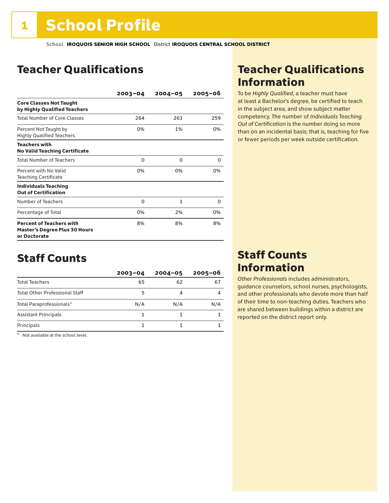# Teacher Qualifications

|                                                                                         | $2003 - 04$ | $2004 - 05$  | $2005 - 06$ |
|-----------------------------------------------------------------------------------------|-------------|--------------|-------------|
| <b>Core Classes Not Taught</b><br>by Highly Qualified Teachers                          |             |              |             |
| <b>Total Number of Core Classes</b>                                                     | 264         | 263          | 259         |
| Percent Not Taught by<br><b>Highly Qualified Teachers</b>                               | 0%          | 1%           | 0%          |
| <b>Teachers with</b><br><b>No Valid Teaching Certificate</b>                            |             |              |             |
| <b>Total Number of Teachers</b>                                                         | 0           | O            | 0           |
| Percent with No Valid<br><b>Teaching Certificate</b>                                    | 0%          | 0%           | 0%          |
| <b>Individuals Teaching</b><br><b>Out of Certification</b>                              |             |              |             |
| Number of Teachers                                                                      | 0           | $\mathbf{1}$ | 0           |
| Percentage of Total                                                                     | 0%          | 2%           | 0%          |
| <b>Percent of Teachers with</b><br><b>Master's Degree Plus 30 Hours</b><br>or Doctorate | 8%          | 8%           | 8%          |

# Staff Counts

|                                       | $2003 - 04$ | $2004 - 05$ | $2005 - 06$ |
|---------------------------------------|-------------|-------------|-------------|
| <b>Total Teachers</b>                 | 65          | 62          | 67          |
| <b>Total Other Professional Staff</b> | 5           |             |             |
| Total Paraprofessionals*              | N/A         | N/A         | N/A         |
| <b>Assistant Principals</b>           |             |             |             |
| Principals                            |             |             |             |

\* Not available at the school level.

# Teacher Qualifications Information

To be *Highly Qualified*, a teacher must have at least a Bachelor's degree, be certified to teach in the subject area, and show subject matter competency. The number of *Individuals Teaching Out of Certification* is the number doing so more than on an incidental basis; that is, teaching for five or fewer periods per week outside certification.

# Staff Counts Information

*Other Professionals* includes administrators, guidance counselors, school nurses, psychologists, and other professionals who devote more than half of their time to non-teaching duties. Teachers who are shared between buildings within a district are reported on the district report only.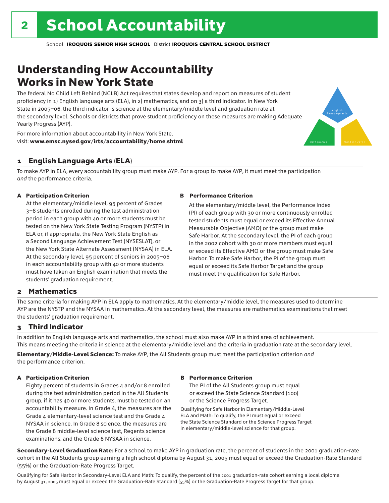# Understanding How Accountability Works in New York State

The federal No Child Left Behind (NCLB) Act requires that states develop and report on measures of student proficiency in 1) English language arts (ELA), in 2) mathematics, and on 3) a third indicator. In New York State in 2005–06, the third indicator is science at the elementary/middle level and graduation rate at the secondary level. Schools or districts that prove student proficiency on these measures are making Adequate Yearly Progress (AYP).



For more information about accountability in New York State, visit: www.emsc.nysed.gov/irts/accountability/home.shtml

### 1 English Language Arts (ELA)

To make AYP in ELA, every accountability group must make AYP. For a group to make AYP, it must meet the participation *and* the performance criteria.

### A Participation Criterion

At the elementary/middle level, 95 percent of Grades 3–8 students enrolled during the test administration period in each group with 40 or more students must be tested on the New York State Testing Program (NYSTP) in ELA or, if appropriate, the New York State English as a Second Language Achievement Test (NYSESLAT), or the New York State Alternate Assessment (NYSAA) in ELA. At the secondary level, 95 percent of seniors in 2005–06 in each accountability group with 40 or more students must have taken an English examination that meets the students' graduation requirement.

### B Performance Criterion

At the elementary/middle level, the Performance Index (PI) of each group with 30 or more continuously enrolled tested students must equal or exceed its Effective Annual Measurable Objective (AMO) or the group must make Safe Harbor. At the secondary level, the PI of each group in the 2002 cohort with 30 or more members must equal or exceed its Effective AMO or the group must make Safe Harbor. To make Safe Harbor, the PI of the group must equal or exceed its Safe Harbor Target and the group must meet the qualification for Safe Harbor.

### 2 Mathematics

The same criteria for making AYP in ELA apply to mathematics. At the elementary/middle level, the measures used to determine AYP are the NYSTP and the NYSAA in mathematics. At the secondary level, the measures are mathematics examinations that meet the students' graduation requirement.

### 3 Third Indicator

In addition to English language arts and mathematics, the school must also make AYP in a third area of achievement. This means meeting the criteria in science at the elementary/middle level and the criteria in graduation rate at the secondary level.

Elementary/Middle-Level Science: To make AYP, the All Students group must meet the participation criterion *and* the performance criterion.

### A Participation Criterion

Eighty percent of students in Grades 4 and/or 8 enrolled during the test administration period in the All Students group, if it has 40 or more students, must be tested on an accountability measure. In Grade 4, the measures are the Grade 4 elementary-level science test and the Grade 4 NYSAA in science. In Grade 8 science, the measures are the Grade 8 middle-level science test, Regents science examinations, and the Grade 8 NYSAA in science.

### B Performance Criterion

The PI of the All Students group must equal or exceed the State Science Standard (100) or the Science Progress Target.

Qualifying for Safe Harbor in Elementary/Middle-Level ELA and Math: To qualify, the PI must equal or exceed the State Science Standard or the Science Progress Target in elementary/middle-level science for that group.

Secondary-Level Graduation Rate: For a school to make AYP in graduation rate, the percent of students in the 2001 graduation-rate cohort in the All Students group earning a high school diploma by August 31, 2005 must equal or exceed the Graduation-Rate Standard (55%) or the Graduation-Rate Progress Target.

Qualifying for Safe Harbor in Secondary-Level ELA and Math: To qualify, the percent of the 2001 graduation-rate cohort earning a local diploma by August 31, 2005 must equal or exceed the Graduation-Rate Standard (55%) or the Graduation-Rate Progress Target for that group.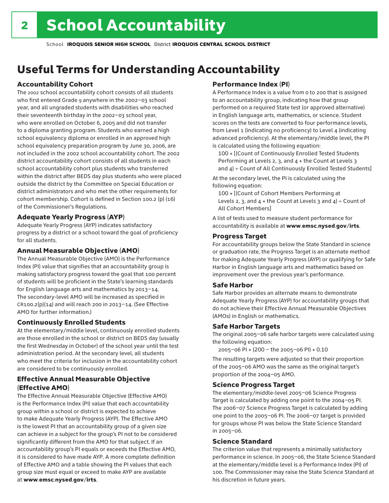# Useful Terms for Understanding Accountability

### Accountability Cohort

The 2002 school accountability cohort consists of all students who first entered Grade 9 anywhere in the 2002–03 school year, and all ungraded students with disabilities who reached their seventeenth birthday in the 2002–03 school year, who were enrolled on October 6, 2005 and did not transfer to a diploma granting program. Students who earned a high school equivalency diploma or enrolled in an approved high school equivalency preparation program by June 30, 2006, are not included in the 2002 school accountability cohort. The 2002 district accountability cohort consists of all students in each school accountability cohort plus students who transferred within the district after BEDS day plus students who were placed outside the district by the Committee on Special Education or district administrators and who met the other requirements for cohort membership. Cohort is defined in Section 100.2 (p) (16) of the Commissioner's Regulations.

### Adequate Yearly Progress (AYP)

Adequate Yearly Progress (AYP) indicates satisfactory progress by a district or a school toward the goal of proficiency for all students.

### Annual Measurable Objective (AMO)

The Annual Measurable Objective (AMO) is the Performance Index (PI) value that signifies that an accountability group is making satisfactory progress toward the goal that 100 percent of students will be proficient in the State's learning standards for English language arts and mathematics by 2013–14. The secondary-level AMO will be increased as specified in  $CR100.2(p)(14)$  and will reach 200 in 2013-14. (See Effective AMO for further information.)

### Continuously Enrolled Students

At the elementary/middle level, continuously enrolled students are those enrolled in the school or district on BEDS day (usually the first Wednesday in October) of the school year until the test administration period. At the secondary level, all students who meet the criteria for inclusion in the accountability cohort are considered to be continuously enrolled.

### Effective Annual Measurable Objective (Effective AMO)

The Effective Annual Measurable Objective (Effective AMO) is the Performance Index (PI) value that each accountability group within a school or district is expected to achieve to make Adequate Yearly Progress (AYP). The Effective AMO is the lowest PI that an accountability group of a given size can achieve in a subject for the group's PI not to be considered significantly different from the AMO for that subject. If an accountability group's PI equals or exceeds the Effective AMO, it is considered to have made AYP. A more complete definition of Effective AMO and a table showing the PI values that each group size must equal or exceed to make AYP are available at www.emsc.nysed.gov/irts.

### Performance Index (PI)

A Performance Index is a value from 0 to 200 that is assigned to an accountability group, indicating how that group performed on a required State test (or approved alternative) in English language arts, mathematics, or science. Student scores on the tests are converted to four performance levels, from Level 1 (indicating no proficiency) to Level 4 (indicating advanced proficiency). At the elementary/middle level, the PI is calculated using the following equation:

100 × [(Count of Continuously Enrolled Tested Students Performing at Levels 2, 3, and 4 + the Count at Levels 3 and  $4$ ) ÷ Count of All Continuously Enrolled Tested Students]

At the secondary level, the PI is calculated using the following equation:

100 × [(Count of Cohort Members Performing at Levels 2, 3, and  $4 +$  the Count at Levels 3 and  $4$ ) ÷ Count of All Cohort Members]

A list of tests used to measure student performance for accountability is available at www.emsc.nysed.gov/irts.

### Progress Target

For accountability groups below the State Standard in science or graduation rate, the Progress Target is an alternate method for making Adequate Yearly Progress (AYP) or qualifying for Safe Harbor in English language arts and mathematics based on improvement over the previous year's performance.

### Safe Harbor

Safe Harbor provides an alternate means to demonstrate Adequate Yearly Progress (AYP) for accountability groups that do not achieve their Effective Annual Measurable Objectives (AMOs) in English or mathematics.

### Safe Harbor Targets

The original 2005–06 safe harbor targets were calculated using the following equation:

2005–06 PI + (200 – the 2005–06 PI) × 0.10

The resulting targets were adjusted so that their proportion of the 2005–06 AMO was the same as the original target's proportion of the 2004–05 AMO.

### Science Progress Target

The elementary/middle-level 2005–06 Science Progress Target is calculated by adding one point to the 2004–05 PI. The 2006–07 Science Progress Target is calculated by adding one point to the 2005–06 PI. The 2006–07 target is provided for groups whose PI was below the State Science Standard in 2005–06.

### Science Standard

The criterion value that represents a minimally satisfactory performance in science. In 2005–06, the State Science Standard at the elementary/middle level is a Performance Index (PI) of 100. The Commissioner may raise the State Science Standard at his discretion in future years.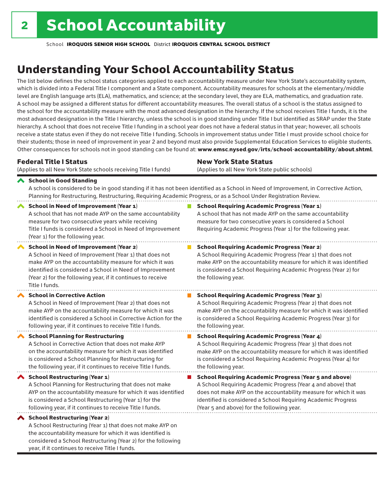considered a School Restructuring (Year 2) for the following

year, if it continues to receive Title I funds.

School **IROQUOIS SENIOR HIGH SCHOOL** District **IROQUOIS CENTRAL SCHOOL DISTRICT**

# Understanding Your School Accountability Status

The list below defines the school status categories applied to each accountability measure under New York State's accountability system, which is divided into a Federal Title I component and a State component. Accountability measures for schools at the elementary/middle level are English language arts (ELA), mathematics, and science; at the secondary level, they are ELA, mathematics, and graduation rate. A school may be assigned a different status for different accountability measures. The overall status of a school is the status assigned to the school for the accountability measure with the most advanced designation in the hierarchy. If the school receives Title I funds, it is the most advanced designation in the Title I hierarchy, unless the school is in good standing under Title I but identified as SRAP under the State hierarchy. A school that does not receive Title I funding in a school year does not have a federal status in that year; however, all schools receive a state status even if they do not receive Title I funding. Schools in improvement status under Title I must provide school choice for their students; those in need of improvement in year 2 and beyond must also provide Supplemental Education Services to eligible students. Other consequences for schools not in good standing can be found at: www.emsc.nysed.gov/irts/school-accountability/about.shtml.

| <b>Federal Title I Status</b><br>(Applies to all New York State schools receiving Title I funds)                                                                                                                                                                                                                | <b>New York State Status</b><br>(Applies to all New York State public schools)                                                                                                                                                                                                                                  |
|-----------------------------------------------------------------------------------------------------------------------------------------------------------------------------------------------------------------------------------------------------------------------------------------------------------------|-----------------------------------------------------------------------------------------------------------------------------------------------------------------------------------------------------------------------------------------------------------------------------------------------------------------|
|                                                                                                                                                                                                                                                                                                                 |                                                                                                                                                                                                                                                                                                                 |
| School in Good Standing<br>Planning for Restructuring, Restructuring, Requiring Academic Progress, or as a School Under Registration Review.                                                                                                                                                                    | A school is considered to be in good standing if it has not been identified as a School in Need of Improvement, in Corrective Action,                                                                                                                                                                           |
| <b>School in Need of Improvement (Year 1)</b><br>A school that has not made AYP on the same accountability<br>measure for two consecutive years while receiving<br>Title I funds is considered a School in Need of Improvement<br>(Year 1) for the following year.                                              | <b>School Requiring Academic Progress (Year 1)</b><br>A school that has not made AYP on the same accountability<br>measure for two consecutive years is considered a School<br>Requiring Academic Progress (Year 1) for the following year.                                                                     |
| <b>School in Need of Improvement (Year 2)</b><br>A School in Need of Improvement (Year 1) that does not<br>make AYP on the accountability measure for which it was<br>identified is considered a School in Need of Improvement<br>(Year 2) for the following year, if it continues to receive<br>Title I funds. | <b>School Requiring Academic Progress (Year 2)</b><br>A School Requiring Academic Progress (Year 1) that does not<br>make AYP on the accountability measure for which it was identified<br>is considered a School Requiring Academic Progress (Year 2) for<br>the following year.                               |
| <b>School in Corrective Action</b><br>A School in Need of Improvement (Year 2) that does not<br>make AYP on the accountability measure for which it was<br>identified is considered a School in Corrective Action for the<br>following year, if it continues to receive Title I funds.                          | <b>School Requiring Academic Progress (Year 3)</b><br>A School Requiring Academic Progress (Year 2) that does not<br>make AYP on the accountability measure for which it was identified<br>is considered a School Requiring Academic Progress (Year 3) for<br>the following year.                               |
| <b>School Planning for Restructuring</b><br>A School in Corrective Action that does not make AYP<br>on the accountability measure for which it was identified<br>is considered a School Planning for Restructuring for<br>the following year, if it continues to receive Title I funds.                         | <b>School Requiring Academic Progress (Year 4)</b><br>A School Requiring Academic Progress (Year 3) that does not<br>make AYP on the accountability measure for which it was identified<br>is considered a School Requiring Academic Progress (Year 4) for<br>the following year.                               |
| School Restructuring (Year 1)<br>A School Planning for Restructuring that does not make<br>AYP on the accountability measure for which it was identified<br>is considered a School Restructuring (Year 1) for the<br>following year, if it continues to receive Title I funds.                                  | <b>School Requiring Academic Progress (Year 5 and above)</b><br>A School Requiring Academic Progress (Year 4 and above) that<br>does not make AYP on the accountability measure for which it was<br>identified is considered a School Requiring Academic Progress<br>(Year 5 and above) for the following year. |
| School Restructuring (Year 2)<br>A School Restructuring (Year 1) that does not make AYP on<br>the accountability measure for which it was identified is                                                                                                                                                         |                                                                                                                                                                                                                                                                                                                 |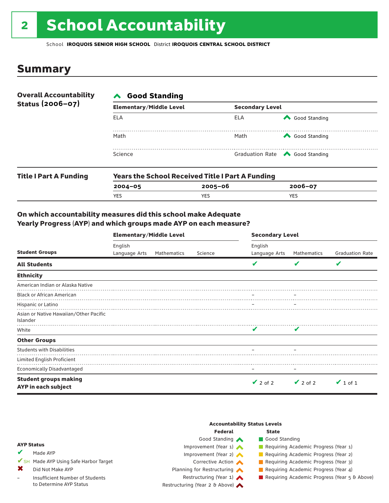# 2 School Accountability

School **IROQUOIS SENIOR HIGH SCHOOL** District **IROQUOIS CENTRAL SCHOOL DISTRICT**

### Summary

| <b>Overall Accountability</b> | <b>∧</b> Good Standing         |                        |                                       |  |  |
|-------------------------------|--------------------------------|------------------------|---------------------------------------|--|--|
| Status (2006-07)              | <b>Elementary/Middle Level</b> | <b>Secondary Level</b> |                                       |  |  |
|                               | ELA                            | ELA                    | Good Standing                         |  |  |
|                               | Math                           | Math                   | Good Standing                         |  |  |
|                               | Science                        |                        | Graduation Rate <a> Good Standing</a> |  |  |
|                               |                                |                        |                                       |  |  |

| <b>Title I Part A Funding</b> | <b>Years the School Received Title I Part A Funding</b> |         |             |  |  |
|-------------------------------|---------------------------------------------------------|---------|-------------|--|--|
|                               | $2004 - 05$                                             | 2005-06 | $2006 - 07$ |  |  |
|                               | <b>YES</b>                                              | YES     | YES         |  |  |

### On which accountability measures did this school make Adequate Yearly Progress (AYP) and which groups made AYP on each measure?

|                                                     | <b>Elementary/Middle Level</b> |             |         | <b>Secondary Level</b>   |               |                         |  |
|-----------------------------------------------------|--------------------------------|-------------|---------|--------------------------|---------------|-------------------------|--|
| <b>Student Groups</b>                               | English<br>Language Arts       | Mathematics | Science | English<br>Language Arts | Mathematics   | <b>Graduation Rate</b>  |  |
| <b>All Students</b>                                 |                                |             |         | v                        | V             | $\overline{\mathbf{v}}$ |  |
| <b>Ethnicity</b>                                    |                                |             |         |                          |               |                         |  |
| American Indian or Alaska Native                    |                                |             |         |                          |               |                         |  |
| <b>Black or African American</b>                    |                                |             |         |                          |               |                         |  |
| Hispanic or Latino                                  |                                |             |         |                          |               |                         |  |
| Asian or Native Hawaiian/Other Pacific<br>Islander  |                                |             |         |                          |               |                         |  |
| White                                               |                                |             |         | V                        | v             |                         |  |
| <b>Other Groups</b>                                 |                                |             |         |                          |               |                         |  |
| <b>Students with Disabilities</b>                   |                                |             |         |                          |               |                         |  |
| Limited English Proficient                          |                                |             |         |                          |               |                         |  |
| <b>Economically Disadvantaged</b>                   |                                |             |         |                          |               |                         |  |
| <b>Student groups making</b><br>AYP in each subject |                                |             |         | $\vee$ 2 of 2            | $\vee$ 2 of 2 | $\vee$ 1 of 1           |  |

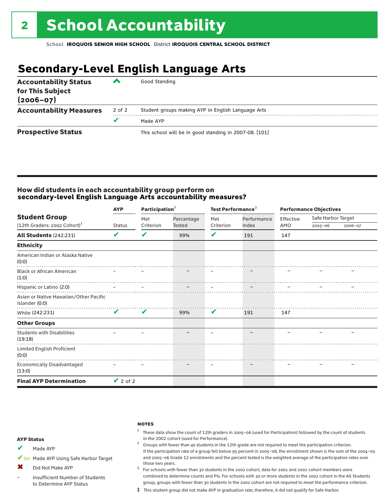# **Secondary-Level English Language Arts**

| <b>Accountability Status</b><br>for This Subject<br>$(2006 - 07)$ | ▰      | Good Standing                                          |
|-------------------------------------------------------------------|--------|--------------------------------------------------------|
| <b>Accountability Measures</b>                                    | 2 of 2 | Student groups making AYP in English Language Arts     |
|                                                                   |        | Made AYP                                               |
| <b>Prospective Status</b>                                         |        | This school will be in good standing in 2007-08. [101] |

### How did students in each accountability group perform on **secondary-level English Language Arts accountability measures?**

| <b>Student Group</b>                                     | <b>AYP</b>                 | Participation <sup>2</sup> |                      | Test Performance <sup>3</sup> |             |                  | <b>Performance Objectives</b> |         |  |
|----------------------------------------------------------|----------------------------|----------------------------|----------------------|-------------------------------|-------------|------------------|-------------------------------|---------|--|
|                                                          | <b>Status</b>              | Met<br>Criterion           | Percentage<br>Tested | Met<br>Criterion              | Performance | Effective<br>AMO | Safe Harbor Target            |         |  |
| (12th Graders: 2002 Cohort) <sup>1</sup>                 |                            |                            |                      |                               | Index       |                  | $2005 - 06$                   | 2006-07 |  |
| <b>All Students (242:231)</b>                            | V                          | ✔                          | 99%                  | V                             | 191         | 147              |                               |         |  |
| <b>Ethnicity</b>                                         |                            |                            |                      |                               |             |                  |                               |         |  |
| American Indian or Alaska Native<br>(0:0)                |                            |                            |                      |                               |             |                  |                               |         |  |
| <b>Black or African American</b><br>(1:0)                |                            |                            |                      |                               |             |                  |                               |         |  |
| Hispanic or Latino (2:0)                                 |                            |                            |                      |                               |             |                  |                               |         |  |
| Asian or Native Hawaiian/Other Pacific<br>Islander (0:0) |                            |                            |                      |                               |             |                  |                               |         |  |
| White (242:231)                                          | $\boldsymbol{\mathcal{U}}$ | $\mathbf{v}$               | 99%                  | V                             | 191         | 147              |                               |         |  |
| <b>Other Groups</b>                                      |                            |                            |                      |                               |             |                  |                               |         |  |
| <b>Students with Disabilities</b><br>(19:18)             |                            |                            |                      |                               |             |                  |                               |         |  |
| Limited English Proficient<br>(0:0)                      |                            |                            |                      |                               |             |                  |                               |         |  |
| Economically Disadvantaged<br>(13:0)                     |                            |                            |                      |                               |             |                  |                               |         |  |
| <b>Final AYP Determination</b>                           | $\vee$ 2 of 2              |                            |                      |                               |             |                  |                               |         |  |

#### **NOTES**

 $1$  These data show the count of 12th graders in 2005-06 (used for Participation) followed by the count of students in the 2002 cohort (used for Performance).<br><sup>2</sup> Groups with fewer than 40 students in the 12th grade are not required to meet the participation criterion.

### AYP Status

Made AYP ✔

✔SH Made AYP Using Safe Harbor Target

Did Not Make AYP ✖

Insufficient Number of Students to Determine AYP Status –

those two years.  $3$  For schools with fewer than 30 students in the 2002 cohort, data for 2001 and 2002 cohort members were combined to determine counts and PIs. For schools with 30 or more students in the 2002 cohort in the All Students group, groups with fewer than 30 students in the 2002 cohort are not required to meet the performance criterion.

If the participation rate of a group fell below 95 percent in 2005–06, the enrollment shown is the sum of the 2004–05 and 2005–06 Grade 12 enrollments and the percent tested is the weighted average of the participation rates over

‡ This student group did not make AYP in graduation rate; therefore, it did not qualify for Safe Harbor.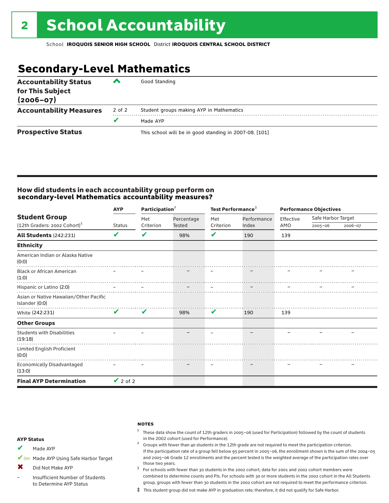# **Secondary-Level Mathematics**

| <b>Accountability Status</b><br>for This Subject<br>$(2006 - 07)$ | ▰      | Good Standing                                          |
|-------------------------------------------------------------------|--------|--------------------------------------------------------|
| <b>Accountability Measures</b>                                    | 2 of 2 | Student groups making AYP in Mathematics               |
|                                                                   | v      | Made AYP                                               |
| <b>Prospective Status</b>                                         |        | This school will be in good standing in 2007-08. [101] |

### How did students in each accountability group perform on **secondary-level Mathematics accountability measures?**

|                                                          | Participation <sup>2</sup><br><b>AYP</b> |           |            | Test Performance <sup>3</sup> |             |           | <b>Performance Objectives</b> |         |  |  |
|----------------------------------------------------------|------------------------------------------|-----------|------------|-------------------------------|-------------|-----------|-------------------------------|---------|--|--|
| <b>Student Group</b>                                     |                                          | Met       | Percentage | Met                           | Performance | Effective | Safe Harbor Target            |         |  |  |
| (12th Graders: 2002 Cohort) <sup>1</sup>                 | <b>Status</b>                            | Criterion | Tested     | Criterion                     | Index       | AMO       | $2005 - 06$                   | 2006-07 |  |  |
| <b>All Students (242:231)</b>                            | V                                        | V         | 98%        | V                             | 190         | 139       |                               |         |  |  |
| <b>Ethnicity</b>                                         |                                          |           |            |                               |             |           |                               |         |  |  |
| American Indian or Alaska Native<br>(0:0)                |                                          |           |            |                               |             |           |                               |         |  |  |
| <b>Black or African American</b><br>(1:0)                |                                          |           |            |                               |             |           |                               |         |  |  |
| Hispanic or Latino (2:0)                                 |                                          |           |            |                               |             |           |                               |         |  |  |
| Asian or Native Hawaiian/Other Pacific<br>Islander (0:0) |                                          |           |            |                               |             |           |                               |         |  |  |
| White (242:231)                                          | $\checkmark$                             | V         | 98%        | V                             | 190         | 139       |                               |         |  |  |
| <b>Other Groups</b>                                      |                                          |           |            |                               |             |           |                               |         |  |  |
| <b>Students with Disabilities</b><br>(19:18)             |                                          |           |            |                               |             |           |                               |         |  |  |
| Limited English Proficient<br>(0:0)                      |                                          |           |            |                               |             |           |                               |         |  |  |
| <b>Economically Disadvantaged</b><br>(13:0)              |                                          |           |            |                               |             |           |                               |         |  |  |
| <b>Final AYP Determination</b>                           | $\vee$ 2 of 2                            |           |            |                               |             |           |                               |         |  |  |

#### **NOTES**

 $1$  These data show the count of 12th graders in 2005-06 (used for Participation) followed by the count of students in the 2002 cohort (used for Performance).<br><sup>2</sup> Groups with fewer than 40 students in the 12th grade are not required to meet the participation criterion.

### AYP Status

Made AYP ✔

✔SH Made AYP Using Safe Harbor Target

Did Not Make AYP ✖

Insufficient Number of Students to Determine AYP Status –

those two years.  $3$  For schools with fewer than 30 students in the 2002 cohort, data for 2001 and 2002 cohort members were combined to determine counts and PIs. For schools with 30 or more students in the 2002 cohort in the All Students group, groups with fewer than 30 students in the 2002 cohort are not required to meet the performance criterion.

If the participation rate of a group fell below 95 percent in 2005–06, the enrollment shown is the sum of the 2004–05 and 2005–06 Grade 12 enrollments and the percent tested is the weighted average of the participation rates over

‡ This student group did not make AYP in graduation rate; therefore, it did not qualify for Safe Harbor.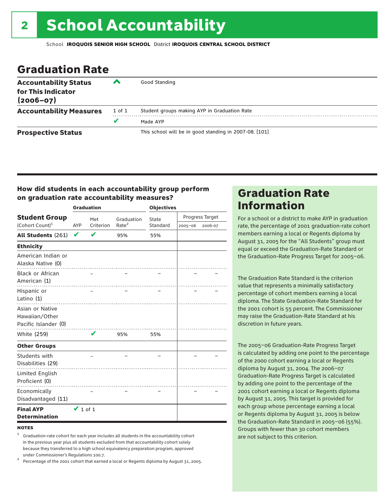# Graduation Rate

| <b>Accountability Status</b><br>for This Indicator<br>$(2006 - 07)$ | ▰      | Good Standing                                          |
|---------------------------------------------------------------------|--------|--------------------------------------------------------|
| <b>Accountability Measures</b>                                      | 1 of 1 | Student groups making AYP in Graduation Rate           |
|                                                                     | v      | Made AYP                                               |
| <b>Prospective Status</b>                                           |        | This school will be in good standing in 2007-08. [101] |

### How did students in each accountability group perform on graduation rate accountability measures?

|                                                           |                         | <b>Graduation</b> |                   | <b>Objectives</b> |             |                 |  |  |
|-----------------------------------------------------------|-------------------------|-------------------|-------------------|-------------------|-------------|-----------------|--|--|
| <b>Student Group</b>                                      |                         | Met               | Graduation        | State             |             | Progress Target |  |  |
| (Cohort Count) <sup>1</sup>                               | Criterion<br><b>AYP</b> |                   | Rate <sup>2</sup> | Standard          | $2005 - 06$ | 2006-07         |  |  |
| All Students (261)                                        | V                       |                   | 95%               | 55%               |             |                 |  |  |
| <b>Ethnicity</b>                                          |                         |                   |                   |                   |             |                 |  |  |
| American Indian or<br>Alaska Native (0)                   |                         |                   |                   |                   |             |                 |  |  |
| <b>Black or African</b><br>American (1)                   |                         |                   |                   |                   |             |                 |  |  |
| Hispanic or<br>Latino $(1)$                               |                         |                   |                   |                   |             |                 |  |  |
| Asian or Native<br>Hawaiian/Other<br>Pacific Islander (0) |                         |                   |                   |                   |             |                 |  |  |
| White (259)                                               |                         | V                 | 95%               | 55%               |             |                 |  |  |
| <b>Other Groups</b>                                       |                         |                   |                   |                   |             |                 |  |  |
| Students with<br>Disabilities (29)                        |                         |                   |                   |                   |             |                 |  |  |
| Limited English<br>Proficient (0)                         |                         |                   |                   |                   |             |                 |  |  |
| Economically<br>Disadvantaged (11)                        |                         |                   |                   |                   |             |                 |  |  |
| <b>Final AYP</b><br><b>Determination</b>                  | $\vee$ 1 of 1           |                   |                   |                   |             |                 |  |  |

### **NOTES**

<sup>1</sup> Graduation-rate cohort for each year includes all students in the accountability cohort in the previous year plus all students excluded from that accountability cohort solely because they transferred to a high school equivalency preparation program, approved

under Commissioner's Regulations 100.7. <sup>2</sup> Percentage of the 2001 cohort that earned a local or Regents diploma by August 31, 2005.

# Graduation Rate Information

For a school or a district to make AYP in graduation rate, the percentage of 2001 graduation-rate cohort members earning a local or Regents diploma by August 31, 2005 for the "All Students" group must equal or exceed the Graduation-Rate Standard or the Graduation-Rate Progress Target for 2005–06.

The Graduation Rate Standard is the criterion value that represents a minimally satisfactory percentage of cohort members earning a local diploma. The State Graduation-Rate Standard for the 2001 cohort is 55 percent. The Commissioner may raise the Graduation-Rate Standard at his discretion in future years.

The 2005–06 Graduation-Rate Progress Target is calculated by adding one point to the percentage of the 2000 cohort earning a local or Regents diploma by August 31, 2004. The 2006–07 Graduation-Rate Progress Target is calculated by adding one point to the percentage of the 2001 cohort earning a local or Regents diploma by August 31, 2005. This target is provided for each group whose percentage earning a local or Regents diploma by August 31, 2005 is below the Graduation-Rate Standard in 2005–06 (55%). Groups with fewer than 30 cohort members are not subject to this criterion.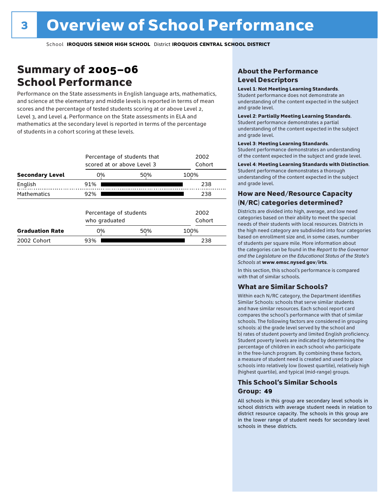# Summary of 2005–06 School Performance

Performance on the State assessments in English language arts, mathematics, and science at the elementary and middle levels is reported in terms of mean scores and the percentage of tested students scoring at or above Level 2, Level 3, and Level 4. Performance on the State assessments in ELA and mathematics at the secondary level is reported in terms of the percentage of students in a cohort scoring at these levels.

|                        |                                         | Percentage of students that<br>scored at or above Level 3 |                |     |  |  |  |  |  |
|------------------------|-----------------------------------------|-----------------------------------------------------------|----------------|-----|--|--|--|--|--|
| <b>Secondary Level</b> | 0%                                      | 50%                                                       | 100%           |     |  |  |  |  |  |
| English                | 91%                                     |                                                           |                | 238 |  |  |  |  |  |
| <b>Mathematics</b>     | 92%                                     |                                                           |                | 238 |  |  |  |  |  |
|                        | Percentage of students<br>who graduated |                                                           | 2002<br>Cohort |     |  |  |  |  |  |
| <b>Graduation Rate</b> | 0%                                      | 50%                                                       | 100%           |     |  |  |  |  |  |
| 2002 Cohort            | 93%                                     |                                                           |                | 238 |  |  |  |  |  |

### About the Performance Level Descriptors

### Level 1: Not Meeting Learning Standards.

Student performance does not demonstrate an understanding of the content expected in the subject and grade level.

### Level 2: Partially Meeting Learning Standards.

Student performance demonstrates a partial understanding of the content expected in the subject and grade level.

### Level 3: Meeting Learning Standards.

Student performance demonstrates an understanding of the content expected in the subject and grade level.

### Level 4: Meeting Learning Standards with Distinction.

Student performance demonstrates a thorough understanding of the content expected in the subject and grade level.

### How are Need/Resource Capacity (N/RC) categories determined?

Districts are divided into high, average, and low need categories based on their ability to meet the special needs of their students with local resources. Districts in the high need category are subdivided into four categories based on enrollment size and, in some cases, number of students per square mile. More information about the categories can be found in the *Report to the Governor and the Legislature on the Educational Status of the State's Schools* at www.emsc.nysed.gov/irts.

In this section, this school's performance is compared with that of similar schools.

### What are Similar Schools?

Within each N/RC category, the Department identifies Similar Schools: schools that serve similar students and have similar resources. Each school report card compares the school's performance with that of similar schools. The following factors are considered in grouping schools: a) the grade level served by the school and b) rates of student poverty and limited English proficiency. Student poverty levels are indicated by determining the percentage of children in each school who participate in the free-lunch program. By combining these factors, a measure of student need is created and used to place schools into relatively low (lowest quartile), relatively high (highest quartile), and typical (mid-range) groups.

### This School's Similar Schools Group: **49**

All schools in this group are secondary level schools in school districts with average student needs in relation to district resource capacity. The schools in this group are in the lower range of student needs for secondary level schools in these districts.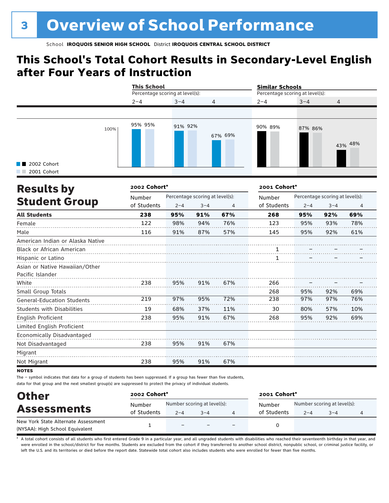# **This School's Total Cohort Results in Secondary-Level English after Four Years of Instruction**

|                              |      | <b>This School</b><br>Percentage scoring at level(s): |         |         | <b>Similar Schools</b><br>Percentage scoring at level(s): |         |                |  |
|------------------------------|------|-------------------------------------------------------|---------|---------|-----------------------------------------------------------|---------|----------------|--|
|                              |      | $2 - 4$                                               | $3 - 4$ | 4       | $2 - 4$                                                   | $3 - 4$ | $\overline{4}$ |  |
| ■ 2002 Cohort<br>2001 Cohort | 100% | 95% 95%                                               | 91% 92% | 67% 69% | 90% 89%                                                   | 87% 86% | 43% 48%        |  |

| <b>Results by</b>                 | 2002 Cohort* |         |                                 |     | 2001 Cohort* |         |                                 |                |  |
|-----------------------------------|--------------|---------|---------------------------------|-----|--------------|---------|---------------------------------|----------------|--|
|                                   | Number       |         | Percentage scoring at level(s): |     | Number       |         | Percentage scoring at level(s): |                |  |
| <b>Student Group</b>              | of Students  | $2 - 4$ | $3 - 4$                         | 4   | of Students  | $2 - 4$ | $3 - 4$                         | $\overline{4}$ |  |
| <b>All Students</b>               | 238          | 95%     | 91%                             | 67% | 268          | 95%     | 92%                             | 69%            |  |
| Female                            | 122          | 98%     | 94%                             | 76% | 123          | 95%     | 93%                             | 78%            |  |
| Male                              | 116          | 91%     | 87%                             | 57% | 145          | 95%     | 92%                             | 61%            |  |
| American Indian or Alaska Native  |              |         |                                 |     |              |         |                                 |                |  |
| <b>Black or African American</b>  |              |         |                                 |     |              |         |                                 |                |  |
| Hispanic or Latino                |              |         |                                 |     |              |         |                                 |                |  |
| Asian or Native Hawaiian/Other    |              |         |                                 |     |              |         |                                 |                |  |
| Pacific Islander                  |              |         |                                 |     |              |         |                                 |                |  |
| White                             | 238          | 95%     | 91%                             | 67% | 266          |         |                                 |                |  |
| Small Group Totals                |              |         |                                 |     | 268          | 95%     | 92%                             | 69%            |  |
| <b>General-Education Students</b> | 219          | 97%     | 95%                             | 72% | 238          | 97%     | 97%                             | 76%            |  |
| Students with Disabilities        | 19           | 68%     | 37%                             | 11% | 30           | 80%     | 57%                             | 10%            |  |
| English Proficient                | 238          | 95%     | 91%                             | 67% | 268          | 95%     | 92%                             | 69%            |  |
| Limited English Proficient        |              |         |                                 |     |              |         |                                 |                |  |
| Economically Disadvantaged        |              |         |                                 |     |              |         |                                 |                |  |
| Not Disadvantaged                 | 238          | 95%     | 91%                             | 67% |              |         |                                 |                |  |
| Migrant                           |              |         |                                 |     |              |         |                                 |                |  |
| Not Migrant                       | 238          | 95%     | 91%                             | 67% |              |         |                                 |                |  |

### **NOTES**

The – symbol indicates that data for a group of students has been suppressed. If a group has fewer than five students, data for that group and the next smallest group(s) are suppressed to protect the privacy of individual students.

| <b>Other</b>                        | 2002 Cohort* |                             |         |  | 2001 Cohort* |                             |         |  |  |
|-------------------------------------|--------------|-----------------------------|---------|--|--------------|-----------------------------|---------|--|--|
| <b>Assessments</b>                  | Number       | Number scoring at level(s): |         |  | Number       | Number scoring at level(s): |         |  |  |
|                                     | of Students  | $2 - 4$                     | $3 - 4$ |  | of Students  | $2 - 4$                     | $3 - 4$ |  |  |
| New York State Alternate Assessment |              |                             |         |  |              |                             |         |  |  |
| (NYSAA): High School Equivalent     |              | $\overline{\phantom{0}}$    |         |  |              |                             |         |  |  |

A total cohort consists of all students who first entered Grade 9 in a particular year, and all ungraded students with disabilities who reached their seventeenth birthday in that year, and were enrolled in the school/district for five months. Students are excluded from the cohort if they transferred to another school district, nonpublic school, or criminal justice facility, or left the U.S. and its territories or died before the report date. Statewide total cohort also includes students who were enrolled for fewer than five months.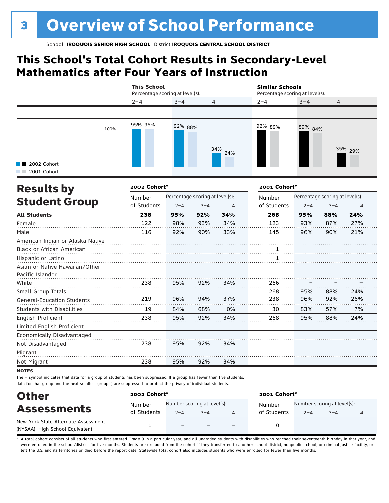# **This School's Total Cohort Results in Secondary-Level Mathematics after Four Years of Instruction**

|                            |      | <b>This School</b><br>Percentage scoring at level(s): |         |                | <b>Similar Schools</b><br>Percentage scoring at level(s): |         |                |  |
|----------------------------|------|-------------------------------------------------------|---------|----------------|-----------------------------------------------------------|---------|----------------|--|
|                            |      | $2 - 4$                                               | $3 - 4$ | $\overline{4}$ | $2 - 4$                                                   | $3 - 4$ | $\overline{4}$ |  |
|                            |      |                                                       |         |                |                                                           |         |                |  |
| 2002 Cohort<br>2001 Cohort | 100% | 95% 95%                                               | 92% 88% | 34%<br>24%     | 92% 89%                                                   | 89% 84% | 35% 29%        |  |

| <b>Results by</b>                 | 2002 Cohort* |         |                                 | 2001 Cohort* |             |         |                                 |                |
|-----------------------------------|--------------|---------|---------------------------------|--------------|-------------|---------|---------------------------------|----------------|
|                                   | Number       |         | Percentage scoring at level(s): |              | Number      |         | Percentage scoring at level(s): |                |
| <b>Student Group</b>              | of Students  | $2 - 4$ | $3 - 4$                         | 4            | of Students | $2 - 4$ | $3 - 4$                         | $\overline{4}$ |
| <b>All Students</b>               | 238          | 95%     | 92%                             | 34%          | 268         | 95%     | 88%                             | 24%            |
| Female                            | 122          | 98%     | 93%                             | 34%          | 123         | 93%     | 87%                             | 27%            |
| Male                              | 116          | 92%     | 90%                             | 33%          | 145         | 96%     | 90%                             | 21%            |
| American Indian or Alaska Native  |              |         |                                 |              |             |         |                                 |                |
| <b>Black or African American</b>  |              |         |                                 |              |             |         |                                 |                |
| Hispanic or Latino                |              |         |                                 |              |             |         |                                 |                |
| Asian or Native Hawaiian/Other    |              |         |                                 |              |             |         |                                 |                |
| Pacific Islander                  |              |         |                                 |              |             |         |                                 |                |
| White                             | 238          | 95%     | 92%                             | 34%          | 266         |         |                                 |                |
| Small Group Totals                |              |         |                                 |              | 268         | 95%     | 88%                             | 24%            |
| <b>General-Education Students</b> | 219          | 96%     | 94%                             | 37%          | 238         | 96%     | 92%                             | 26%            |
| <b>Students with Disabilities</b> | 19           | 84%     | 68%                             | 0%           | 30          | 83%     | 57%                             | 7%             |
| English Proficient                | 238          | 95%     | 92%                             | 34%          | 268         | 95%     | 88%                             | 24%            |
| Limited English Proficient        |              |         |                                 |              |             |         |                                 |                |
| Economically Disadvantaged        |              |         |                                 |              |             |         |                                 |                |
| Not Disadvantaged                 | 238          | 95%     | 92%                             | 34%          |             |         |                                 |                |
| Migrant                           |              |         |                                 |              |             |         |                                 |                |
| Not Migrant                       | 238          | 95%     | 92%                             | 34%          |             |         |                                 |                |

**NOTES** 

The – symbol indicates that data for a group of students has been suppressed. If a group has fewer than five students, data for that group and the next smallest group(s) are suppressed to protect the privacy of individual students.

| <b>Other</b>                        | 2002 Cohort* |                             |         |                          | 2001 Cohort* |                             |         |  |  |
|-------------------------------------|--------------|-----------------------------|---------|--------------------------|--------------|-----------------------------|---------|--|--|
| <b>Assessments</b>                  | Number       | Number scoring at level(s): |         |                          | Number       | Number scoring at level(s): |         |  |  |
|                                     | of Students  | $2 - 4$                     | $3 - 4$ |                          | of Students  | $2 - 4$                     | $3 - 4$ |  |  |
| New York State Alternate Assessment |              |                             |         |                          |              |                             |         |  |  |
| (NYSAA): High School Equivalent     |              | $\overline{\phantom{0}}$    |         | $\overline{\phantom{0}}$ |              |                             |         |  |  |

A total cohort consists of all students who first entered Grade 9 in a particular year, and all ungraded students with disabilities who reached their seventeenth birthday in that year, and were enrolled in the school/district for five months. Students are excluded from the cohort if they transferred to another school district, nonpublic school, or criminal justice facility, or left the U.S. and its territories or died before the report date. Statewide total cohort also includes students who were enrolled for fewer than five months.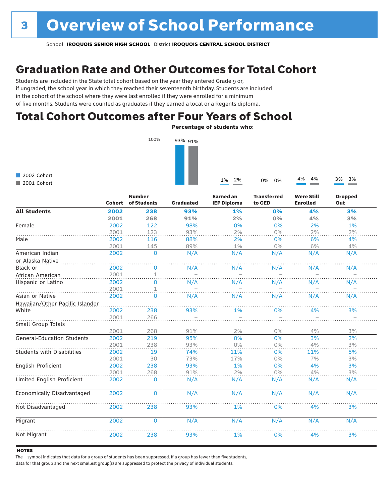# Graduation Rate and Other Outcomes for Total Cohort

Students are included in the State total cohort based on the year they entered Grade 9 or, if ungraded, the school year in which they reached their seventeenth birthday. Students are included in the cohort of the school where they were last enrolled if they were enrolled for a minimum of five months. Students were counted as graduates if they earned a local or a Regents diploma.

### Total Cohort Outcomes after Four Years of School

Percentage of students who:



2002 Cohort 2001 Cohort

|                                   | Cohort | <b>Number</b><br>of Students | <b>Graduated</b> | <b>Earned an</b><br><b>IEP Diploma</b> | <b>Transferred</b><br>to GED | <b>Were Still</b><br><b>Enrolled</b> | <b>Dropped</b><br>Out |
|-----------------------------------|--------|------------------------------|------------------|----------------------------------------|------------------------------|--------------------------------------|-----------------------|
| <b>All Students</b>               | 2002   | 238                          | 93%              | 1%                                     | 0%                           | 4%                                   | 3%                    |
|                                   | 2001   | 268                          | 91%              | 2%                                     | 0%                           | 4%                                   | 3%                    |
| Female                            | 2002   | 122                          | 98%              | 0%                                     | 0%                           | 2%                                   | 1%                    |
|                                   | 2001   | 123                          | 93%              | 2%                                     | 0%                           | 2%                                   | 2%                    |
| Male                              | 2002   | 116                          | 88%              | 2%                                     | 0%                           | 6%                                   | 4%                    |
|                                   | 2001   | 145                          | 89%              | 1%                                     | $0\%$                        | 6%                                   | 4%                    |
| American Indian                   | 2002   | $\mathbf{0}$                 | N/A              | N/A                                    | N/A                          | N/A                                  | N/A                   |
| or Alaska Native                  |        |                              |                  |                                        |                              |                                      |                       |
| Black or                          | 2002   | 0                            | N/A              | N/A                                    | N/A                          | N/A                                  | N/A                   |
| African American                  | 2001   | $\mathbf 1$                  |                  |                                        |                              |                                      |                       |
| Hispanic or Latino                | 2002   | $\Omega$                     | N/A              | N/A                                    | N/A                          | N/A                                  | N/A                   |
|                                   | 2001   | $\mathbf 1$                  |                  |                                        |                              |                                      |                       |
| Asian or Native                   | 2002   | $\mathbf{0}$                 | N/A              | N/A                                    | N/A                          | N/A                                  | N/A                   |
| Hawaiian/Other Pacific Islander   |        |                              |                  |                                        |                              |                                      |                       |
| White                             | 2002   | 238                          | 93%              | 1%                                     | 0%                           | 4%                                   | 3%                    |
|                                   | 2001   | 266                          |                  |                                        |                              |                                      |                       |
| Small Group Totals                |        |                              |                  |                                        |                              |                                      |                       |
|                                   | 2001   | 268                          | 91%              | 2%                                     | $0\%$                        | 4%                                   | 3%                    |
| <b>General-Education Students</b> | 2002   | 219                          | 95%              | 0%                                     | 0%                           | 3%                                   | 2%                    |
|                                   | 2001   | 238                          | 93%              | 0%                                     | 0%                           | 4%                                   | 3%                    |
| <b>Students with Disabilities</b> | 2002   | 19                           | 74%              | 11%                                    | 0%                           | 11%                                  | 5%                    |
|                                   | 2001   | 30                           | 73%              | 17%                                    | $0\%$                        | 7%                                   | 3%                    |
| English Proficient                | 2002   | 238                          | 93%              | 1%                                     | 0%                           | 4%                                   | 3%                    |
|                                   | 2001   | 268                          | 91%              | 2%                                     | 0%                           | 4%                                   | 3%                    |
| Limited English Proficient        | 2002   | 0                            | N/A              | N/A                                    | N/A                          | N/A                                  | N/A                   |
| <b>Economically Disadvantaged</b> | 2002   | $\Omega$                     | N/A              | N/A                                    | N/A                          | N/A                                  | N/A                   |
| Not Disadvantaged                 | 2002   | 238                          | 93%              | 1%                                     | 0%                           | 4%                                   | 3%                    |
| Migrant                           | 2002   | $\Omega$                     | N/A              | N/A                                    | N/A                          | N/A                                  | N/A                   |
| Not Migrant                       | 2002   | 238                          | 93%              | 1%                                     | 0%                           | 4%                                   | 3%                    |

#### **NOTES**

The – symbol indicates that data for a group of students has been suppressed. If a group has fewer than five students,

data for that group and the next smallest group(s) are suppressed to protect the privacy of individual students.